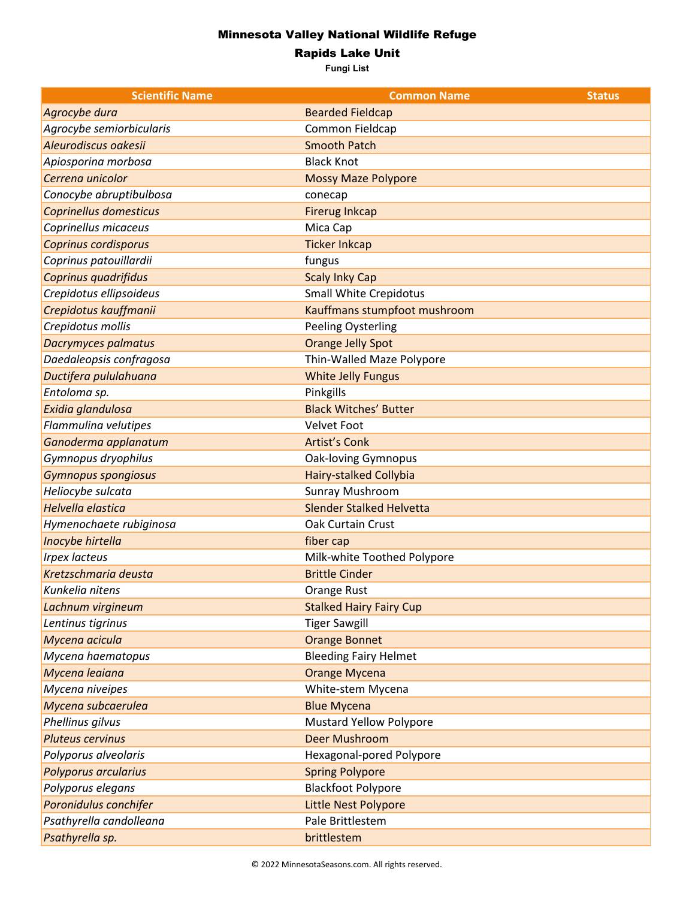## Minnesota Valley National Wildlife Refuge

Rapids Lake Unit

**Fungi List**

| <b>Scientific Name</b>   | <b>Common Name</b>              | <b>Status</b> |
|--------------------------|---------------------------------|---------------|
| Agrocybe dura            | <b>Bearded Fieldcap</b>         |               |
| Agrocybe semiorbicularis | Common Fieldcap                 |               |
| Aleurodiscus oakesii     | <b>Smooth Patch</b>             |               |
| Apiosporina morbosa      | <b>Black Knot</b>               |               |
| Cerrena unicolor         | <b>Mossy Maze Polypore</b>      |               |
| Conocybe abruptibulbosa  | conecap                         |               |
| Coprinellus domesticus   | <b>Firerug Inkcap</b>           |               |
| Coprinellus micaceus     | Mica Cap                        |               |
| Coprinus cordisporus     | <b>Ticker Inkcap</b>            |               |
| Coprinus patouillardii   | fungus                          |               |
| Coprinus quadrifidus     | <b>Scaly Inky Cap</b>           |               |
| Crepidotus ellipsoideus  | <b>Small White Crepidotus</b>   |               |
| Crepidotus kauffmanii    | Kauffmans stumpfoot mushroom    |               |
| Crepidotus mollis        | <b>Peeling Oysterling</b>       |               |
| Dacrymyces palmatus      | <b>Orange Jelly Spot</b>        |               |
| Daedaleopsis confragosa  | Thin-Walled Maze Polypore       |               |
| Ductifera pululahuana    | <b>White Jelly Fungus</b>       |               |
| Entoloma sp.             | Pinkgills                       |               |
| Exidia glandulosa        | <b>Black Witches' Butter</b>    |               |
| Flammulina velutipes     | <b>Velvet Foot</b>              |               |
| Ganoderma applanatum     | <b>Artist's Conk</b>            |               |
| Gymnopus dryophilus      | <b>Oak-loving Gymnopus</b>      |               |
| Gymnopus spongiosus      | <b>Hairy-stalked Collybia</b>   |               |
| Heliocybe sulcata        | Sunray Mushroom                 |               |
| <b>Helvella elastica</b> | <b>Slender Stalked Helvetta</b> |               |
| Hymenochaete rubiginosa  | <b>Oak Curtain Crust</b>        |               |
| Inocybe hirtella         | fiber cap                       |               |
| <b>Irpex lacteus</b>     | Milk-white Toothed Polypore     |               |
| Kretzschmaria deusta     | <b>Brittle Cinder</b>           |               |
| Kunkelia nitens          | Orange Rust                     |               |
| Lachnum virgineum        | <b>Stalked Hairy Fairy Cup</b>  |               |
| Lentinus tigrinus        | <b>Tiger Sawgill</b>            |               |
| Mycena acicula           | <b>Orange Bonnet</b>            |               |
| Mycena haematopus        | <b>Bleeding Fairy Helmet</b>    |               |
| Mycena leaiana           | <b>Orange Mycena</b>            |               |
| Mycena niveipes          | White-stem Mycena               |               |
| Mycena subcaerulea       | <b>Blue Mycena</b>              |               |
| Phellinus gilvus         | <b>Mustard Yellow Polypore</b>  |               |
| <b>Pluteus cervinus</b>  | <b>Deer Mushroom</b>            |               |
| Polyporus alveolaris     | Hexagonal-pored Polypore        |               |
| Polyporus arcularius     | <b>Spring Polypore</b>          |               |
| Polyporus elegans        | <b>Blackfoot Polypore</b>       |               |
| Poronidulus conchifer    | Little Nest Polypore            |               |
| Psathyrella candolleana  | Pale Brittlestem                |               |
| Psathyrella sp.          | brittlestem                     |               |